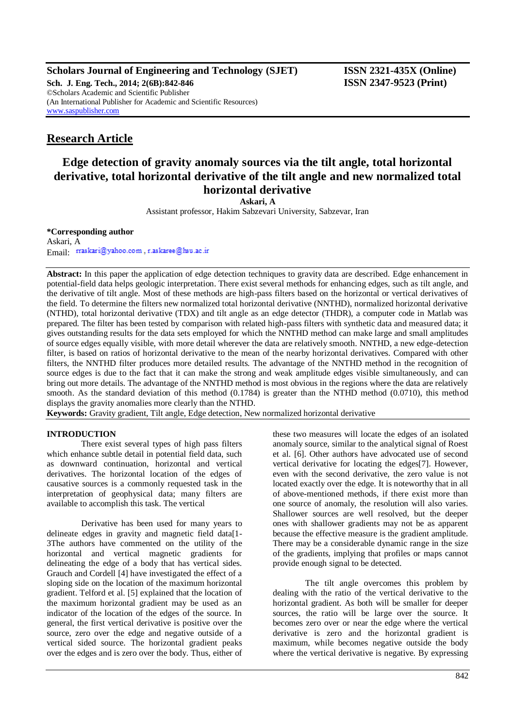**Scholars Journal of Engineering and Technology (SJET) ISSN 2321-435X (Online)**

**Sch. J. Eng. Tech., 2014; 2(6B):842-846 ISSN 2347-9523 (Print)** ©Scholars Academic and Scientific Publisher (An International Publisher for Academic and Scientific Resources) [www.saspublisher.com](http://www.saspublisher.com/)

## **Research Article**

# **Edge detection of gravity anomaly sources via the tilt angle, total horizontal derivative, total horizontal derivative of the tilt angle and new normalized total horizontal derivative**

**Askari, A**

Assistant professor, Hakim Sabzevari University, Sabzevar, Iran

**\*Corresponding author** Askari, A Email: rraskari@yahoo.com , r.askaree@hsu.ac.ir

**Abstract:** In this paper the application of edge detection techniques to gravity data are described. Edge enhancement in potential-field data helps geologic interpretation. There exist several methods for enhancing edges, such as tilt angle, and the derivative of tilt angle. Most of these methods are high-pass filters based on the horizontal or vertical derivatives of the field. To determine the filters new normalized total horizontal derivative (NNTHD), normalized horizontal derivative (NTHD), total horizontal derivative (TDX) and tilt angle as an edge detector (THDR), a computer code in Matlab was prepared. The filter has been tested by comparison with related high-pass filters with synthetic data and measured data; it gives outstanding results for the data sets employed for which the NNTHD method can make large and small amplitudes of source edges equally visible, with more detail wherever the data are relatively smooth. NNTHD, a new edge-detection filter, is based on ratios of horizontal derivative to the mean of the nearby horizontal derivatives. Compared with other filters, the NNTHD filter produces more detailed results. The advantage of the NNTHD method in the recognition of source edges is due to the fact that it can make the strong and weak amplitude edges visible simultaneously, and can bring out more details. The advantage of the NNTHD method is most obvious in the regions where the data are relatively smooth. As the standard deviation of this method (0.1784) is greater than the NTHD method (0.0710), this method displays the gravity anomalies more clearly than the NTHD.

**Keywords:** Gravity gradient, Tilt angle, Edge detection, New normalized horizontal derivative

## **INTRODUCTION**

 There exist several types of high pass filters which enhance subtle detail in potential field data, such as downward continuation, horizontal and vertical derivatives. The horizontal location of the edges of causative sources is a commonly requested task in the interpretation of geophysical data; many filters are available to accomplish this task. The vertical

 Derivative has been used for many years to delineate edges in gravity and magnetic field data[1- 3The authors have commented on the utility of the horizontal and vertical magnetic gradients for delineating the edge of a body that has vertical sides. Grauch and Cordell [4] have investigated the effect of a sloping side on the location of the maximum horizontal gradient. Telford et al. [5] explained that the location of the maximum horizontal gradient may be used as an indicator of the location of the edges of the source. In general, the first vertical derivative is positive over the source, zero over the edge and negative outside of a vertical sided source. The horizontal gradient peaks over the edges and is zero over the body. Thus, either of

these two measures will locate the edges of an isolated anomaly source, similar to the analytical signal of Roest et al. [6]. Other authors have advocated use of second vertical derivative for locating the edges[7]. However, even with the second derivative, the zero value is not located exactly over the edge. It is noteworthy that in all of above-mentioned methods, if there exist more than one source of anomaly, the resolution will also varies. Shallower sources are well resolved, but the deeper ones with shallower gradients may not be as apparent because the effective measure is the gradient amplitude. There may be a considerable dynamic range in the size of the gradients, implying that profiles or maps cannot provide enough signal to be detected.

 The tilt angle overcomes this problem by dealing with the ratio of the vertical derivative to the horizontal gradient. As both will be smaller for deeper sources, the ratio will be large over the source. It becomes zero over or near the edge where the vertical derivative is zero and the horizontal gradient is maximum, while becomes negative outside the body where the vertical derivative is negative. By expressing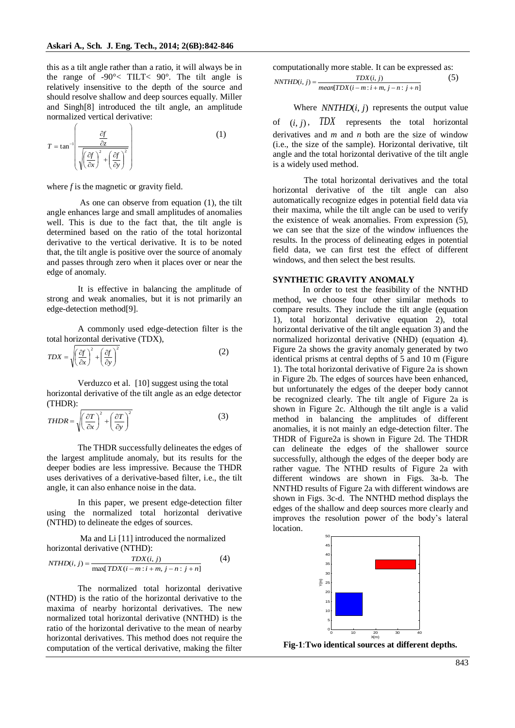this as a tilt angle rather than a ratio, it will always be in the range of  $-90^{\circ}$  TILT < 90°. The tilt angle is relatively insensitive to the depth of the source and should resolve shallow and deep sources equally. Miller and Singh[8] introduced the tilt angle, an amplitude normalized vertical derivative:

$$
T = \tan^{-1} \left( \frac{\frac{\partial f}{\partial z}}{\sqrt{\left(\frac{\partial f}{\partial x}\right)^2 + \left(\frac{\partial f}{\partial y}\right)^2}} \right)
$$
 (1)

where *f* is the magnetic or gravity field.

As one can observe from equation (1), the tilt angle enhances large and small amplitudes of anomalies well. This is due to the fact that, the tilt angle is determined based on the ratio of the total horizontal derivative to the vertical derivative. It is to be noted that, the tilt angle is positive over the source of anomaly and passes through zero when it places over or near the edge of anomaly.

It is effective in balancing the amplitude of strong and weak anomalies, but it is not primarily an edge-detection method[9].

A commonly used edge-detection filter is the total horizontal derivative (TDX),

$$
TDX = \sqrt{\left(\frac{\partial f}{\partial x}\right)^2 + \left(\frac{\partial f}{\partial y}\right)^2}
$$
 (2)

Verduzco et al. [10] suggest using the total horizontal derivative of the tilt angle as an edge detector (THDR):

$$
THDR = \sqrt{\left(\frac{\partial T}{\partial x}\right)^2 + \left(\frac{\partial T}{\partial y}\right)^2} \tag{3}
$$

The THDR successfully delineates the edges of the largest amplitude anomaly, but its results for the deeper bodies are less impressive. Because the THDR uses derivatives of a derivative-based filter, i.e., the tilt angle, it can also enhance noise in the data.

In this paper, we present edge-detection filter using the normalized total horizontal derivative (NTHD) to delineate the edges of sources.

Ma and Li [11] introduced the normalized horizontal derivative (NTHD):

$$
NTHD(i, j) = \frac{TDX(i, j)}{\max[TDX(i - m : i + m, j - n : j + n]}
$$
(4)

The normalized total horizontal derivative (NTHD) is the ratio of the horizontal derivative to the maxima of nearby horizontal derivatives. The new normalized total horizontal derivative (NNTHD) is the ratio of the horizontal derivative to the mean of nearby horizontal derivatives. This method does not require the computation of the vertical derivative, making the filter

computationally more stable. It can be expressed as:

$$
NNTHD(i, j) = \frac{TDX(i, j)}{mean[TDX(i - m : i + m, j - n : j + n]}
$$
(5)

Where  $NNTHD(i, j)$  represents the output value

of  $(i, j)$ ,  $TDX$  represents the total horizontal derivatives and *m* and *n* both are the size of window (i.e., the size of the sample). Horizontal derivative, tilt angle and the total horizontal derivative of the tilt angle is a widely used method.

The total horizontal derivatives and the total horizontal derivative of the tilt angle can also automatically recognize edges in potential field data via their maxima, while the tilt angle can be used to verify the existence of weak anomalies. From expression (5), we can see that the size of the window influences the results. In the process of delineating edges in potential field data, we can first test the effect of different windows, and then select the best results.

#### **SYNTHETIC GRAVITY ANOMALY**

 In order to test the feasibility of the NNTHD method, we choose four other similar methods to compare results. They include the tilt angle (equation 1), total horizontal derivative equation 2), total horizontal derivative of the tilt angle equation 3) and the normalized horizontal derivative (NHD) (equation 4). Figure 2a shows the gravity anomaly generated by two identical prisms at central depths of 5 and 10 m (Figure 1). The total horizontal derivative of Figure 2a is shown in Figure 2b. The edges of sources have been enhanced, but unfortunately the edges of the deeper body cannot be recognized clearly. The tilt angle of Figure 2a is shown in Figure 2c. Although the tilt angle is a valid method in balancing the amplitudes of different anomalies, it is not mainly an edge-detection filter. The THDR of Figure2a is shown in Figure 2d. The THDR can delineate the edges of the shallower source successfully, although the edges of the deeper body are rather vague. The NTHD results of Figure 2a with different windows are shown in Figs. 3a-b. The NNTHD results of Figure 2a with different windows are shown in Figs. 3c-d. The NNTHD method displays the edges of the shallow and deep sources more clearly and improves the resolution power of the body's lateral location.



**Fig-1**:**Two identical sources at different depths.**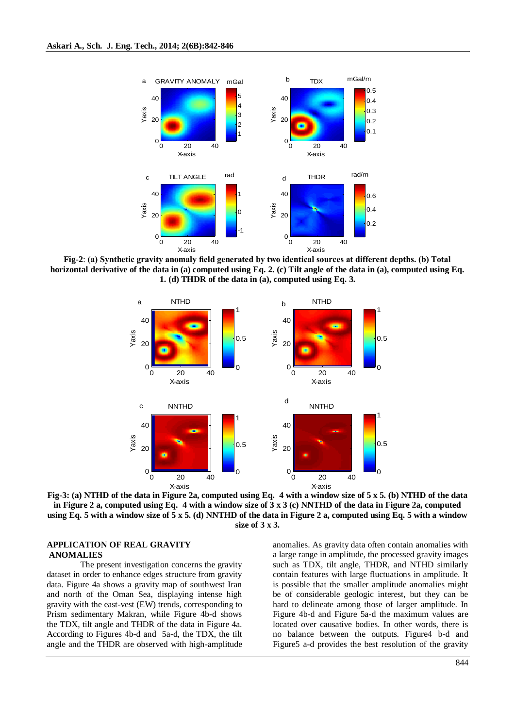

**Fig-2**: **(a) Synthetic gravity anomaly field generated by two identical sources at different depths. (b) Total horizontal derivative of the data in (a) computed using Eq. 2. (c) Tilt angle of the data in (a), computed using Eq. 1. (d) THDR of the data in (a), computed using Eq. 3.**



**Fig-3: (a) NTHD of the data in Figure 2a, computed using Eq. 4 with a window size of 5 x 5. (b) NTHD of the data in Figure 2 a, computed using Eq. 4 with a window size of 3 x 3 (c) NNTHD of the data in Figure 2a, computed using Eq. 5 with a window size of 5 x 5. (d) NNTHD of the data in Figure 2 a, computed using Eq. 5 with a window size of 3 x 3.**

## **APPLICATION OF REAL GRAVITY ANOMALIES**

 The present investigation concerns the gravity dataset in order to enhance edges structure from gravity data. Figure 4a shows a gravity map of southwest Iran and north of the Oman Sea, displaying intense high gravity with the east-vest (EW) trends, corresponding to Prism sedimentary Makran, while Figure 4b-d shows the TDX, tilt angle and THDR of the data in Figure 4a. According to Figures 4b-d and 5a-d, the TDX, the tilt angle and the THDR are observed with high-amplitude

anomalies. As gravity data often contain anomalies with a large range in amplitude, the processed gravity images such as TDX, tilt angle, THDR, and NTHD similarly contain features with large fluctuations in amplitude. It is possible that the smaller amplitude anomalies might be of considerable geologic interest, but they can be hard to delineate among those of larger amplitude. In Figure 4b-d and Figure 5a-d the maximum values are located over causative bodies. In other words, there is no balance between the outputs. Figure4 b-d and Figure5 a-d provides the best resolution of the gravity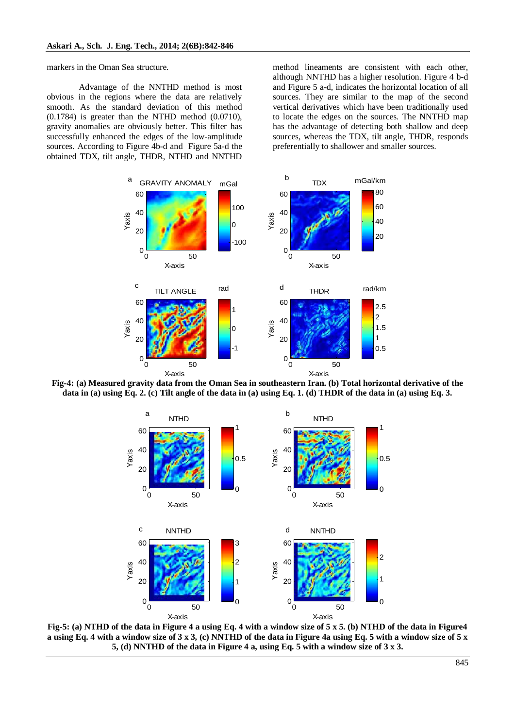markers in the Oman Sea structure.

 Advantage of the NNTHD method is most obvious in the regions where the data are relatively smooth. As the standard deviation of this method (0.1784) is greater than the NTHD method (0.0710), gravity anomalies are obviously better. This filter has successfully enhanced the edges of the low-amplitude sources. According to Figure 4b-d and Figure 5a-d the obtained TDX, tilt angle, THDR, NTHD and NNTHD

method lineaments are consistent with each other, although NNTHD has a higher resolution. Figure 4 b-d and Figure 5 a-d, indicates the horizontal location of all sources. They are similar to the map of the second vertical derivatives which have been traditionally used to locate the edges on the sources. The NNTHD map has the advantage of detecting both shallow and deep sources, whereas the TDX, tilt angle, THDR, responds preferentially to shallower and smaller sources.



**Fig-4: (a) Measured gravity data from the Oman Sea in southeastern Iran. (b) Total horizontal derivative of the data in (a) using Eq. 2. (c) Tilt angle of the data in (a) using Eq. 1. (d) THDR of the data in (a) using Eq. 3.**



**Fig-5: (a) NTHD of the data in Figure 4 a using Eq. 4 with a window size of 5 x 5. (b) NTHD of the data in Figure4 a using Eq. 4 with a window size of 3 x 3, (c) NNTHD of the data in Figure 4a using Eq. 5 with a window size of 5 x 5, (d) NNTHD of the data in Figure 4 a, using Eq. 5 with a window size of 3 x 3.**